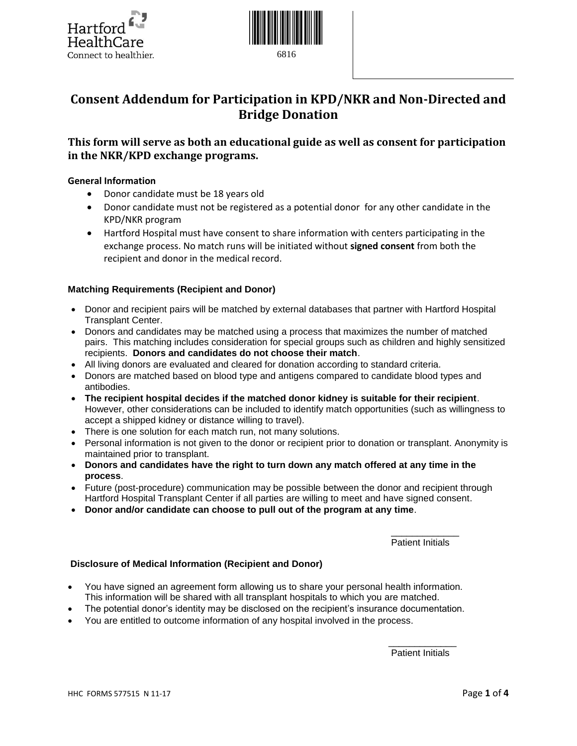



6816

# **Consent Addendum for Participation in KPD/NKR and Non-Directed and Bridge Donation**

# **This form will serve as both an educational guide as well as consent for participation in the NKR/KPD exchange programs.**

## **General Information**

- Donor candidate must be 18 years old
- Donor candidate must not be registered as a potential donor for any other candidate in the KPD/NKR program
- Hartford Hospital must have consent to share information with centers participating in the exchange process. No match runs will be initiated without **signed consent** from both the recipient and donor in the medical record.

#### **Matching Requirements (Recipient and Donor)**

- Donor and recipient pairs will be matched by external databases that partner with Hartford Hospital Transplant Center.
- Donors and candidates may be matched using a process that maximizes the number of matched pairs. This matching includes consideration for special groups such as children and highly sensitized recipients. **Donors and candidates do not choose their match**.
- All living donors are evaluated and cleared for donation according to standard criteria.
- Donors are matched based on blood type and antigens compared to candidate blood types and antibodies.
- **The recipient hospital decides if the matched donor kidney is suitable for their recipient**. However, other considerations can be included to identify match opportunities (such as willingness to accept a shipped kidney or distance willing to travel).
- There is one solution for each match run, not many solutions.
- Personal information is not given to the donor or recipient prior to donation or transplant. Anonymity is maintained prior to transplant.
- **Donors and candidates have the right to turn down any match offered at any time in the process**.
- Future (post-procedure) communication may be possible between the donor and recipient through Hartford Hospital Transplant Center if all parties are willing to meet and have signed consent.
- **Donor and/or candidate can choose to pull out of the program at any time**.

 $\mathcal{L}_\text{max}$  and  $\mathcal{L}_\text{max}$  and  $\mathcal{L}_\text{max}$  and  $\mathcal{L}_\text{max}$  and  $\mathcal{L}_\text{max}$ Patient Initials

#### **Disclosure of Medical Information (Recipient and Donor)**

- You have signed an agreement form allowing us to share your personal health information. This information will be shared with all transplant hospitals to which you are matched.
- The potential donor's identity may be disclosed on the recipient's insurance documentation.

 $\mathcal{L}_\text{max}$  , and the set of the set of the set of the set of the set of the set of the set of the set of the set of the set of the set of the set of the set of the set of the set of the set of the set of the set of the

You are entitled to outcome information of any hospital involved in the process.

Patient Initials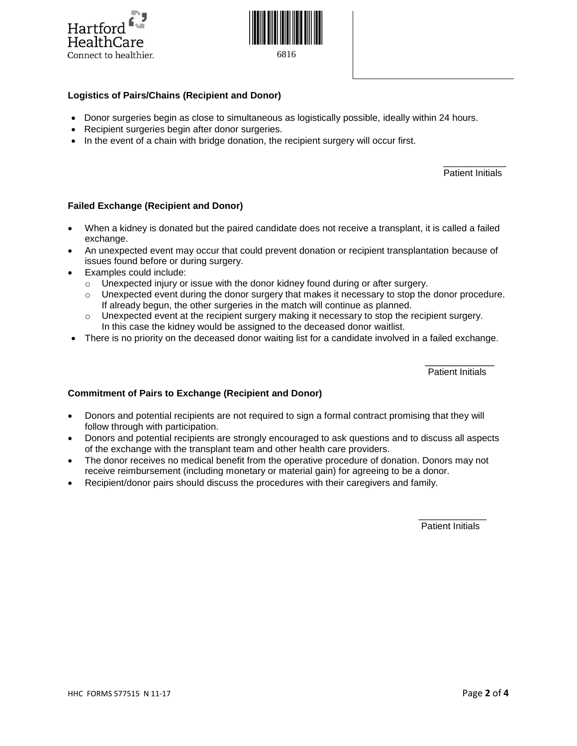



6816

## **Logistics of Pairs/Chains (Recipient and Donor)**

- Donor surgeries begin as close to simultaneous as logistically possible, ideally within 24 hours.
- Recipient surgeries begin after donor surgeries.
- In the event of a chain with bridge donation, the recipient surgery will occur first.

Patient Initials

#### **Failed Exchange (Recipient and Donor)**

 When a kidney is donated but the paired candidate does not receive a transplant, it is called a failed exchange.

 $\mathcal{L}_\text{max}$  and  $\mathcal{L}_\text{max}$  and  $\mathcal{L}_\text{max}$  and  $\mathcal{L}_\text{max}$  and  $\mathcal{L}_\text{max}$ 

- An unexpected event may occur that could prevent donation or recipient transplantation because of issues found before or during surgery.
- Examples could include:
	- $\circ$  Unexpected injury or issue with the donor kidney found during or after surgery.
	- $\circ$  Unexpected event during the donor surgery that makes it necessary to stop the donor procedure. If already begun, the other surgeries in the match will continue as planned.
	- $\circ$  Unexpected event at the recipient surgery making it necessary to stop the recipient surgery. In this case the kidney would be assigned to the deceased donor waitlist.
- There is no priority on the deceased donor waiting list for a candidate involved in a failed exchange.

 $\mathcal{L}_\mathcal{L}$  , which is a set of the set of the set of the set of the set of the set of the set of the set of the set of the set of the set of the set of the set of the set of the set of the set of the set of the set of

Patient Initials

#### **Commitment of Pairs to Exchange (Recipient and Donor)**

- Donors and potential recipients are not required to sign a formal contract promising that they will follow through with participation.
- Donors and potential recipients are strongly encouraged to ask questions and to discuss all aspects of the exchange with the transplant team and other health care providers.
- The donor receives no medical benefit from the operative procedure of donation. Donors may not receive reimbursement (including monetary or material gain) for agreeing to be a donor.

 $\mathcal{L}_\text{max}$  and  $\mathcal{L}_\text{max}$  and  $\mathcal{L}_\text{max}$  and  $\mathcal{L}_\text{max}$  and  $\mathcal{L}_\text{max}$  and  $\mathcal{L}_\text{max}$ 

Recipient/donor pairs should discuss the procedures with their caregivers and family.

Patient Initials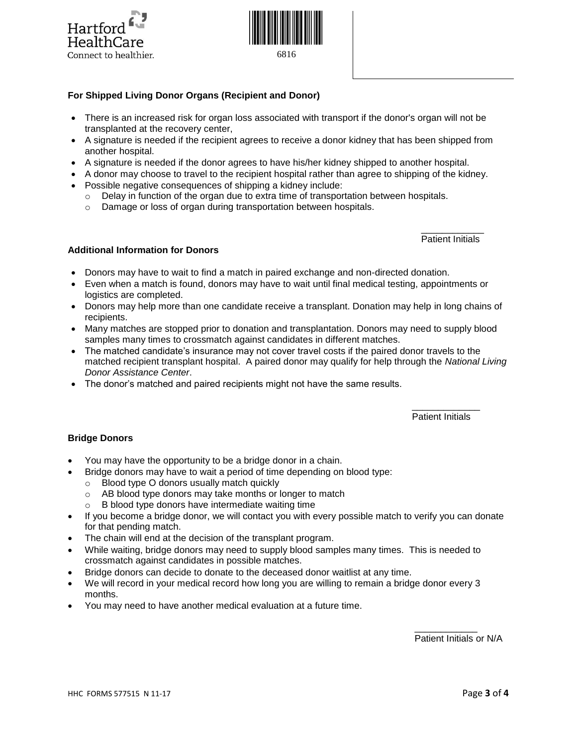



## **For Shipped Living Donor Organs (Recipient and Donor)**

- There is an increased risk for organ loss associated with transport if the donor's organ will not be transplanted at the recovery center,
- A signature is needed if the recipient agrees to receive a donor kidney that has been shipped from another hospital.
- A signature is needed if the donor agrees to have his/her kidney shipped to another hospital.
- A donor may choose to travel to the recipient hospital rather than agree to shipping of the kidney.

 $\mathcal{L}_\text{max}$  and  $\mathcal{L}_\text{max}$  and  $\mathcal{L}_\text{max}$  and  $\mathcal{L}_\text{max}$  and  $\mathcal{L}_\text{max}$ 

- Possible negative consequences of shipping a kidney include:
	- Delay in function of the organ due to extra time of transportation between hospitals.
	- o Damage or loss of organ during transportation between hospitals.

Patient Initials

## **Additional Information for Donors**

- Donors may have to wait to find a match in paired exchange and non-directed donation.
- Even when a match is found, donors may have to wait until final medical testing, appointments or logistics are completed.
- Donors may help more than one candidate receive a transplant. Donation may help in long chains of recipients.
- Many matches are stopped prior to donation and transplantation. Donors may need to supply blood samples many times to crossmatch against candidates in different matches.
- The matched candidate's insurance may not cover travel costs if the paired donor travels to the matched recipient transplant hospital. A paired donor may qualify for help through the *National Living Donor Assistance Center*.
- The donor's matched and paired recipients might not have the same results.

#### $\mathcal{L}_\text{max}$  and  $\mathcal{L}_\text{max}$  and  $\mathcal{L}_\text{max}$  and  $\mathcal{L}_\text{max}$  and  $\mathcal{L}_\text{max}$ Patient Initials

#### **Bridge Donors**

- You may have the opportunity to be a bridge donor in a chain.
- Bridge donors may have to wait a period of time depending on blood type:
	- o Blood type O donors usually match quickly
	- o AB blood type donors may take months or longer to match
	- o B blood type donors have intermediate waiting time
- If you become a bridge donor, we will contact you with every possible match to verify you can donate for that pending match.
- The chain will end at the decision of the transplant program.
- While waiting, bridge donors may need to supply blood samples many times. This is needed to crossmatch against candidates in possible matches.
- Bridge donors can decide to donate to the deceased donor waitlist at any time.
- We will record in your medical record how long you are willing to remain a bridge donor every 3 months.
- You may need to have another medical evaluation at a future time.

 $\mathcal{L}_\text{max}$  and  $\mathcal{L}_\text{max}$  and  $\mathcal{L}_\text{max}$  and  $\mathcal{L}_\text{max}$  and  $\mathcal{L}_\text{max}$ Patient Initials or N/A